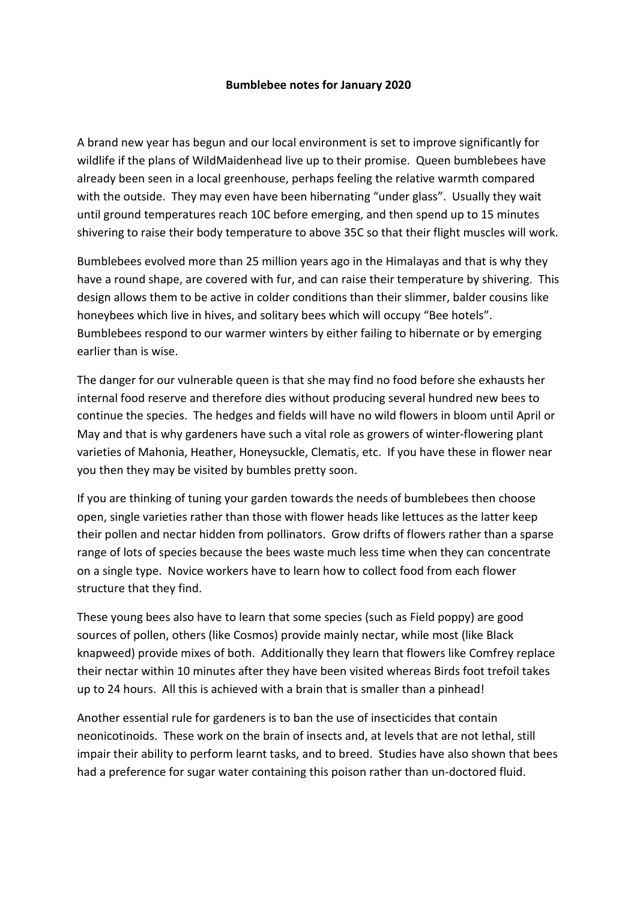## **Bumblebee notes for January 2020**

A brand new year has begun and our local environment is set to improve significantly for wildlife if the plans of WildMaidenhead live up to their promise. Queen bumblebees have already been seen in a local greenhouse, perhaps feeling the relative warmth compared with the outside. They may even have been hibernating "under glass". Usually they wait until ground temperatures reach 10C before emerging, and then spend up to 15 minutes shivering to raise their body temperature to above 35C so that their flight muscles will work.

Bumblebees evolved more than 25 million years ago in the Himalayas and that is why they have a round shape, are covered with fur, and can raise their temperature by shivering. This design allows them to be active in colder conditions than their slimmer, balder cousins like honeybees which live in hives, and solitary bees which will occupy "Bee hotels". Bumblebees respond to our warmer winters by either failing to hibernate or by emerging earlier than is wise.

The danger for our vulnerable queen is that she may find no food before she exhausts her internal food reserve and therefore dies without producing several hundred new bees to continue the species. The hedges and fields will have no wild flowers in bloom until April or May and that is why gardeners have such a vital role as growers of winter-flowering plant varieties of Mahonia, Heather, Honeysuckle, Clematis, etc. If you have these in flower near you then they may be visited by bumbles pretty soon.

If you are thinking of tuning your garden towards the needs of bumblebees then choose open, single varieties rather than those with flower heads like lettuces as the latter keep their pollen and nectar hidden from pollinators. Grow drifts of flowers rather than a sparse range of lots of species because the bees waste much less time when they can concentrate on a single type. Novice workers have to learn how to collect food from each flower structure that they find.

These young bees also have to learn that some species (such as Field poppy) are good sources of pollen, others (like Cosmos) provide mainly nectar, while most (like Black knapweed) provide mixes of both. Additionally they learn that flowers like Comfrey replace their nectar within 10 minutes after they have been visited whereas Birds foot trefoil takes up to 24 hours. All this is achieved with a brain that is smaller than a pinhead!

Another essential rule for gardeners is to ban the use of insecticides that contain neonicotinoids. These work on the brain of insects and, at levels that are not lethal, still impair their ability to perform learnt tasks, and to breed. Studies have also shown that bees had a preference for sugar water containing this poison rather than un-doctored fluid.